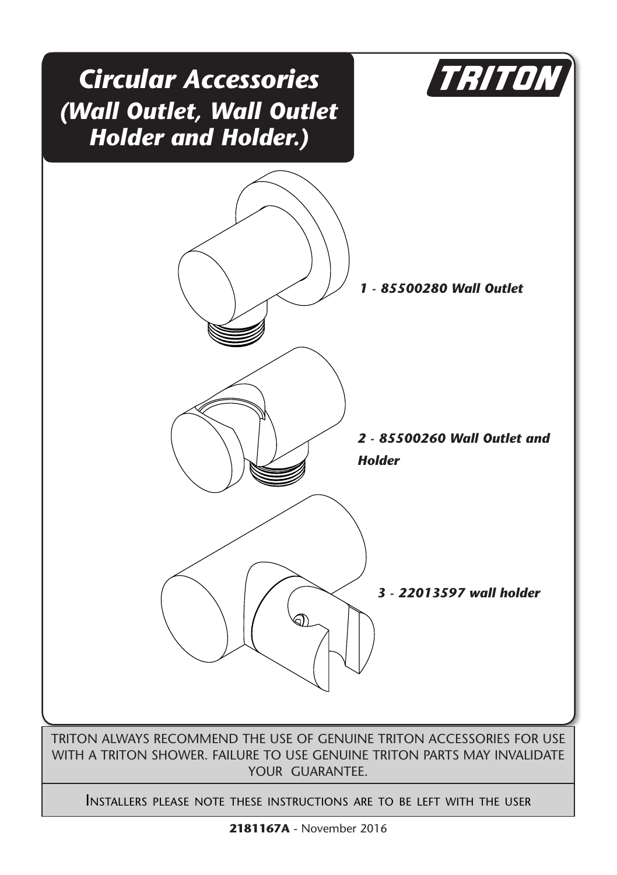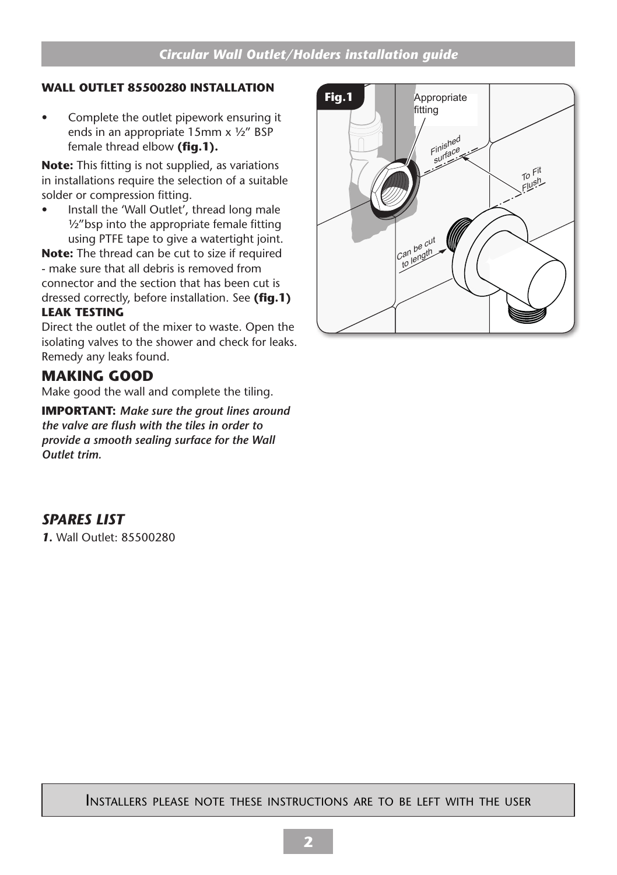#### **WALL OUTLET 85500280 INSTALLATION**

• Complete the outlet pipework ensuring it ends in an appropriate 15mm x ½" BSP female thread elbow **(fig.1).**

**Note:** This fitting is not supplied, as variations in installations require the selection of a suitable solder or compression fitting.

• Install the 'Wall Outlet', thread long male ½"bsp into the appropriate female fitting using PTFE tape to give a watertight joint.

**Note:** The thread can be cut to size if required - make sure that all debris is removed from connector and the section that has been cut is dressed correctly, before installation. See **(fig.1)**

### **LEAK TESTING**

Direct the outlet of the mixer to waste. Open the isolating valves to the shower and check for leaks. Remedy any leaks found.

### **MAKING GOOD**

Make good the wall and complete the tiling.

**IMPORTANT:** *Make sure the grout lines around the valve are flush with the tiles in order to provide a smooth sealing surface for the Wall Outlet trim.*

### *SPARES LIST*

*1.* Wall Outlet: 85500280



#### Installers please note these instructions are to be left with the user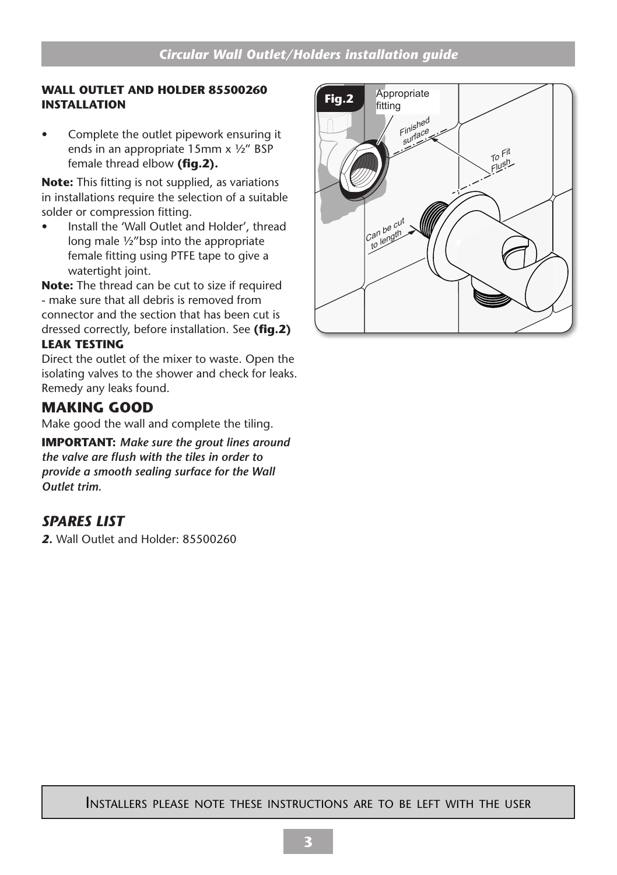#### **WALL OUTLET AND HOLDER 85500260 Fig.2 INSTALLATION**

• Complete the outlet pipework ensuring it ends in an appropriate 15mm x ½" BSP female thread elbow **(fig.2).**

**Note:** This fitting is not supplied, as variations in installations require the selection of a suitable solder or compression fitting.

• Install the 'Wall Outlet and Holder', thread long male ½"bsp into the appropriate female fitting using PTFE tape to give a watertight joint.

**Note:** The thread can be cut to size if required - make sure that all debris is removed from connector and the section that has been cut is dressed correctly, before installation. See **(fig.2) LEAK TESTING**

Direct the outlet of the mixer to waste. Open the isolating valves to the shower and check for leaks. Remedy any leaks found.

## **MAKING GOOD**

Make good the wall and complete the tiling.

**IMPORTANT:** *Make sure the grout lines around the valve are flush with the tiles in order to provide a smooth sealing surface for the Wall Outlet trim.*

# *SPARES LIST*

*2.* Wall Outlet and Holder: 85500260



#### Installers please note these instructions are to be left with the user